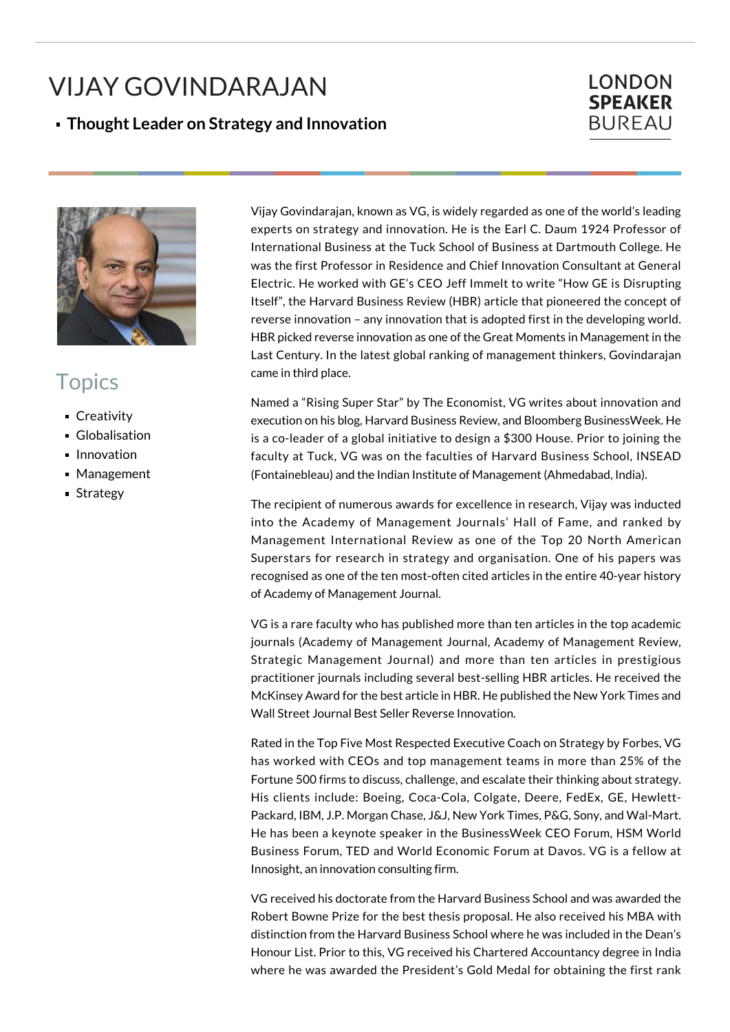## VIJAY GOVINDARAJAN

## **Thought Leader on Strategy and Innovation**

## **LONDON SPEAKER BUREAU**



## **Topics**

- **Creativity**
- **Globalisation**
- **Innovation**
- **Management**
- Strategy

Vijay Govindarajan, known as VG, is widely regarded as one of the world's leading experts on strategy and innovation. He is the Earl C. Daum 1924 Professor of International Business at the Tuck School of Business at Dartmouth College. He was the first Professor in Residence and Chief Innovation Consultant at General Electric. He worked with GE's CEO Jeff Immelt to write "How GE is Disrupting Itself", the Harvard Business Review (HBR) article that pioneered the concept of reverse innovation – any innovation that is adopted first in the developing world. HBR picked reverse innovation as one of the Great Moments in Management in the Last Century. In the latest global ranking of management thinkers, Govindarajan came in third place.

Named a "Rising Super Star" by The Economist, VG writes about innovation and execution on his blog, Harvard Business Review, and Bloomberg BusinessWeek. He is a co-leader of a global initiative to design a \$300 House. Prior to joining the faculty at Tuck, VG was on the faculties of Harvard Business School, INSEAD (Fontainebleau) and the Indian Institute of Management (Ahmedabad, India).

The recipient of numerous awards for excellence in research, Vijay was inducted into the Academy of Management Journals' Hall of Fame, and ranked by Management International Review as one of the Top 20 North American Superstars for research in strategy and organisation. One of his papers was recognised as one of the ten most-often cited articles in the entire 40-year history of Academy of Management Journal.

VG is a rare faculty who has published more than ten articles in the top academic journals (Academy of Management Journal, Academy of Management Review, Strategic Management Journal) and more than ten articles in prestigious practitioner journals including several best-selling HBR articles. He received the McKinsey Award for the best article in HBR. He published the New York Times and Wall Street Journal Best Seller Reverse Innovation.

Rated in the Top Five Most Respected Executive Coach on Strategy by Forbes, VG has worked with CEOs and top management teams in more than 25% of the Fortune 500 firms to discuss, challenge, and escalate their thinking about strategy. His clients include: Boeing, Coca-Cola, Colgate, Deere, FedEx, GE, Hewlett-Packard, IBM, J.P. Morgan Chase, J&J, New York Times, P&G, Sony, and Wal-Mart. He has been a keynote speaker in the BusinessWeek CEO Forum, HSM World Business Forum, TED and World Economic Forum at Davos. VG is a fellow at Innosight, an innovation consulting firm.

VG received his doctorate from the Harvard Business School and was awarded the Robert Bowne Prize for the best thesis proposal. He also received his MBA with distinction from the Harvard Business School where he was included in the Dean's Honour List. Prior to this, VG received his Chartered Accountancy degree in India where he was awarded the President's Gold Medal for obtaining the first rank